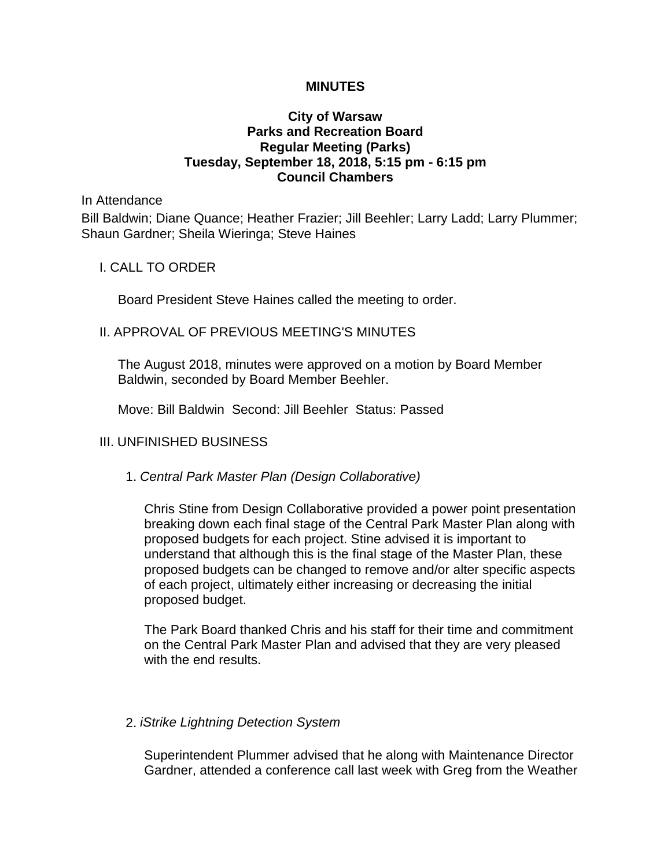### **MINUTES**

## **City of Warsaw Parks and Recreation Board Regular Meeting (Parks) Tuesday, September 18, 2018, 5:15 pm - 6:15 pm Council Chambers**

In Attendance

Bill Baldwin; Diane Quance; Heather Frazier; Jill Beehler; Larry Ladd; Larry Plummer; Shaun Gardner; Sheila Wieringa; Steve Haines

#### I. CALL TO ORDER

Board President Steve Haines called the meeting to order.

#### II. APPROVAL OF PREVIOUS MEETING'S MINUTES

The August 2018, minutes were approved on a motion by Board Member Baldwin, seconded by Board Member Beehler.

Move: Bill Baldwin Second: Jill Beehler Status: Passed

### III. UNFINISHED BUSINESS

#### 1. *Central Park Master Plan (Design Collaborative)*

Chris Stine from Design Collaborative provided a power point presentation breaking down each final stage of the Central Park Master Plan along with proposed budgets for each project. Stine advised it is important to understand that although this is the final stage of the Master Plan, these proposed budgets can be changed to remove and/or alter specific aspects of each project, ultimately either increasing or decreasing the initial proposed budget.

The Park Board thanked Chris and his staff for their time and commitment on the Central Park Master Plan and advised that they are very pleased with the end results.

#### 2. *iStrike Lightning Detection System*

Superintendent Plummer advised that he along with Maintenance Director Gardner, attended a conference call last week with Greg from the Weather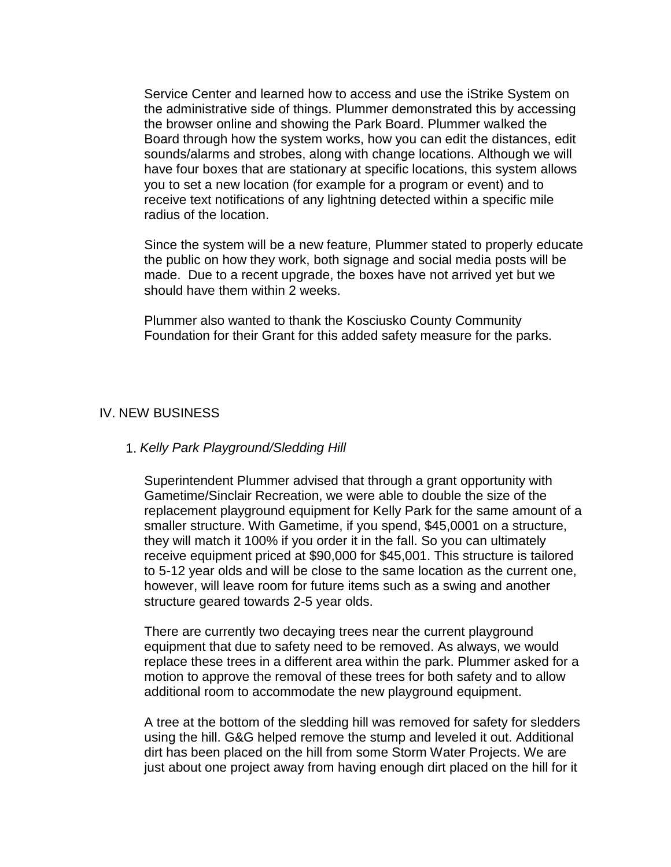Service Center and learned how to access and use the iStrike System on the administrative side of things. Plummer demonstrated this by accessing the browser online and showing the Park Board. Plummer walked the Board through how the system works, how you can edit the distances, edit sounds/alarms and strobes, along with change locations. Although we will have four boxes that are stationary at specific locations, this system allows you to set a new location (for example for a program or event) and to receive text notifications of any lightning detected within a specific mile radius of the location.

Since the system will be a new feature, Plummer stated to properly educate the public on how they work, both signage and social media posts will be made. Due to a recent upgrade, the boxes have not arrived yet but we should have them within 2 weeks.

Plummer also wanted to thank the Kosciusko County Community Foundation for their Grant for this added safety measure for the parks.

## IV. NEW BUSINESS

### 1. *Kelly Park Playground/Sledding Hill*

Superintendent Plummer advised that through a grant opportunity with Gametime/Sinclair Recreation, we were able to double the size of the replacement playground equipment for Kelly Park for the same amount of a smaller structure. With Gametime, if you spend, \$45,0001 on a structure, they will match it 100% if you order it in the fall. So you can ultimately receive equipment priced at \$90,000 for \$45,001. This structure is tailored to 5-12 year olds and will be close to the same location as the current one, however, will leave room for future items such as a swing and another structure geared towards 2-5 year olds.

There are currently two decaying trees near the current playground equipment that due to safety need to be removed. As always, we would replace these trees in a different area within the park. Plummer asked for a motion to approve the removal of these trees for both safety and to allow additional room to accommodate the new playground equipment.

A tree at the bottom of the sledding hill was removed for safety for sledders using the hill. G&G helped remove the stump and leveled it out. Additional dirt has been placed on the hill from some Storm Water Projects. We are just about one project away from having enough dirt placed on the hill for it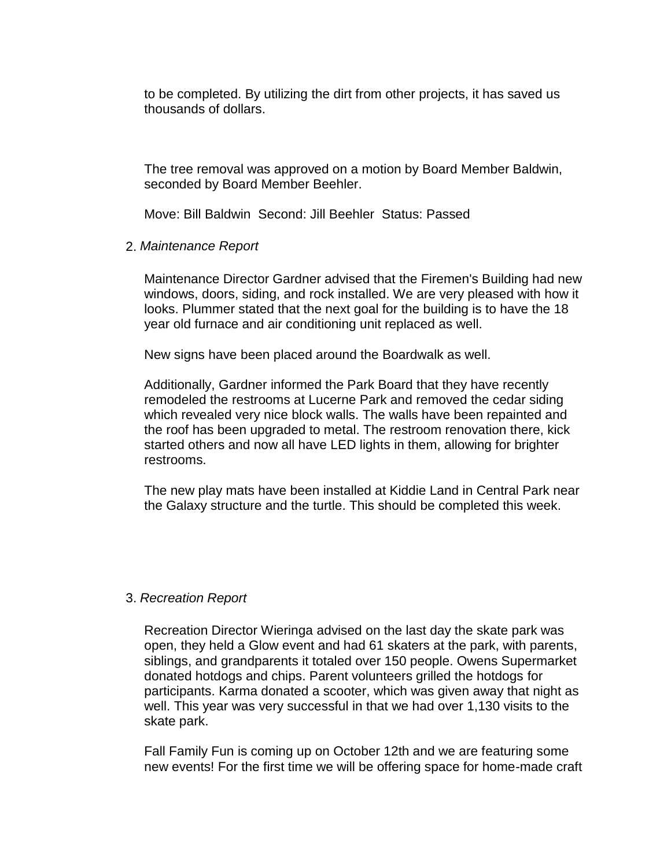to be completed. By utilizing the dirt from other projects, it has saved us thousands of dollars.

The tree removal was approved on a motion by Board Member Baldwin, seconded by Board Member Beehler.

Move: Bill Baldwin Second: Jill Beehler Status: Passed

## 2. *Maintenance Report*

Maintenance Director Gardner advised that the Firemen's Building had new windows, doors, siding, and rock installed. We are very pleased with how it looks. Plummer stated that the next goal for the building is to have the 18 year old furnace and air conditioning unit replaced as well.

New signs have been placed around the Boardwalk as well.

Additionally, Gardner informed the Park Board that they have recently remodeled the restrooms at Lucerne Park and removed the cedar siding which revealed very nice block walls. The walls have been repainted and the roof has been upgraded to metal. The restroom renovation there, kick started others and now all have LED lights in them, allowing for brighter restrooms.

The new play mats have been installed at Kiddie Land in Central Park near the Galaxy structure and the turtle. This should be completed this week.

# 3. *Recreation Report*

Recreation Director Wieringa advised on the last day the skate park was open, they held a Glow event and had 61 skaters at the park, with parents, siblings, and grandparents it totaled over 150 people. Owens Supermarket donated hotdogs and chips. Parent volunteers grilled the hotdogs for participants. Karma donated a scooter, which was given away that night as well. This year was very successful in that we had over 1,130 visits to the skate park.

Fall Family Fun is coming up on October 12th and we are featuring some new events! For the first time we will be offering space for home-made craft